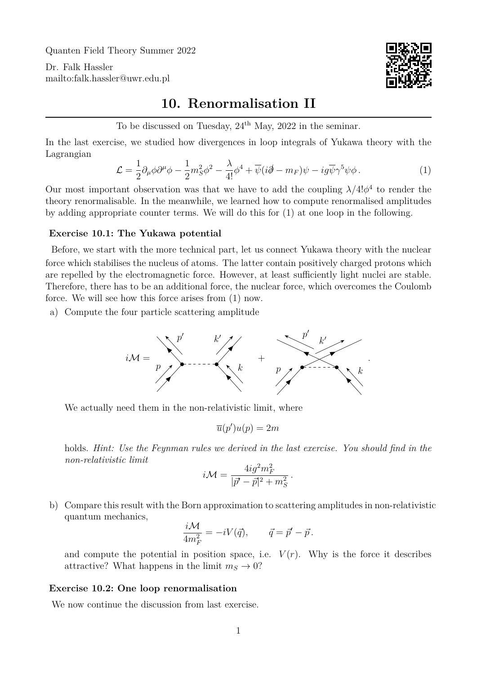Quanten Field Theory Summer 2022

Dr. Falk Hassler <mailto:falk.hassler@uwr.edu.pl>



## **10. Renormalisation II**

To be discussed on Tuesday,  $24<sup>th</sup>$  May, 2022 in the seminar.

In the last exercise, we studied how divergences in loop integrals of Yukawa theory with the Lagrangian

<span id="page-0-0"></span>
$$
\mathcal{L} = \frac{1}{2} \partial_{\mu} \phi \partial^{\mu} \phi - \frac{1}{2} m_{S}^{2} \phi^{2} - \frac{\lambda}{4!} \phi^{4} + \overline{\psi} (i \partial \!\!\!/ - m_{F}) \psi - i g \overline{\psi} \gamma^{5} \psi \phi \,. \tag{1}
$$

Our most important observation was that we have to add the coupling  $\lambda/4!\phi^4$  to render the theory renormalisable. In the meanwhile, we learned how to compute renormalised amplitudes by adding appropriate counter terms. We will do this for [\(1\)](#page-0-0) at one loop in the following.

## **Exercise 10.1: The Yukawa potential**

Before, we start with the more technical part, let us connect Yukawa theory with the nuclear force which stabilises the nucleus of atoms. The latter contain positively charged protons which are repelled by the electromagnetic force. However, at least sufficiently light nuclei are stable. Therefore, there has to be an additional force, the nuclear force, which overcomes the Coulomb force. We will see how this force arises from [\(1\)](#page-0-0) now.

a) Compute the four particle scattering amplitude



We actually need them in the non-relativistic limit, where

$$
\overline{u}(p')u(p) = 2m
$$

holds. *Hint: Use the Feynman rules we derived in the last exercise. You should find in the non-relativistic limit*

$$
i\mathcal{M}=\frac{4ig^2m_F^2}{|\vec{p'}-\vec{p}|^2+m_S^2}.
$$

b) Compare this result with the Born approximation to scattering amplitudes in non-relativistic quantum mechanics,

$$
\frac{i\mathcal{M}}{4m_F^2} = -iV(\vec{q}), \qquad \vec{q} = \vec{p}' - \vec{p}.
$$

and compute the potential in position space, i.e.  $V(r)$ . Why is the force it describes attractive? What happens in the limit  $m<sub>S</sub> \rightarrow 0$ ?

## **Exercise 10.2: One loop renormalisation**

We now continue the discussion from last exercise.